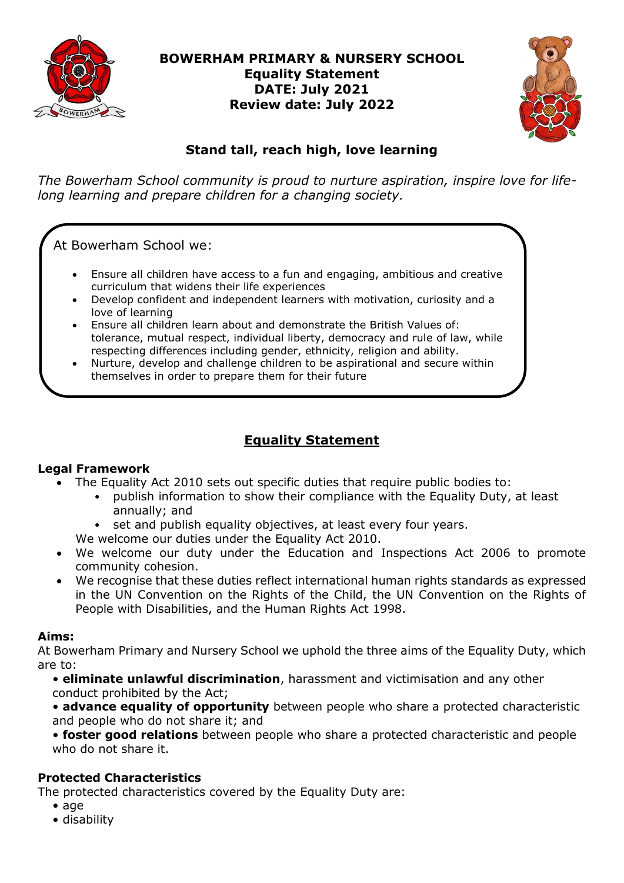

# **BOWERHAM PRIMARY & NURSERY SCHOOL Equality Statement DATE: July 2021 Review date: July 2022**



# **Stand tall, reach high, love learning**

*The Bowerham School community is proud to nurture aspiration, inspire love for lifelong learning and prepare children for a changing society.*

At Bowerham School we:

- Ensure all children have access to a fun and engaging, ambitious and creative curriculum that widens their life experiences
- Develop confident and independent learners with motivation, curiosity and a love of learning
- Ensure all children learn about and demonstrate the British Values of: tolerance, mutual respect, individual liberty, democracy and rule of law, while respecting differences including gender, ethnicity, religion and ability.
- Nurture, develop and challenge children to be aspirational and secure within themselves in order to prepare them for their future

# **Equality Statement**

### **Legal Framework**

- The Equality Act 2010 sets out specific duties that require public bodies to:
	- publish information to show their compliance with the Equality Duty, at least annually; and
	- set and publish equality objectives, at least every four years.
	- We welcome our duties under the Equality Act 2010.
- We welcome our duty under the Education and Inspections Act 2006 to promote community cohesion.
- We recognise that these duties reflect international human rights standards as expressed in the UN Convention on the Rights of the Child, the UN Convention on the Rights of People with Disabilities, and the Human Rights Act 1998.

### **Aims:**

At Bowerham Primary and Nursery School we uphold the three aims of the Equality Duty, which are to:

• **eliminate unlawful discrimination**, harassment and victimisation and any other conduct prohibited by the Act;

• **advance equality of opportunity** between people who share a protected characteristic and people who do not share it; and

• **foster good relations** between people who share a protected characteristic and people who do not share it.

# **Protected Characteristics**

The protected characteristics covered by the Equality Duty are:

- age
- disability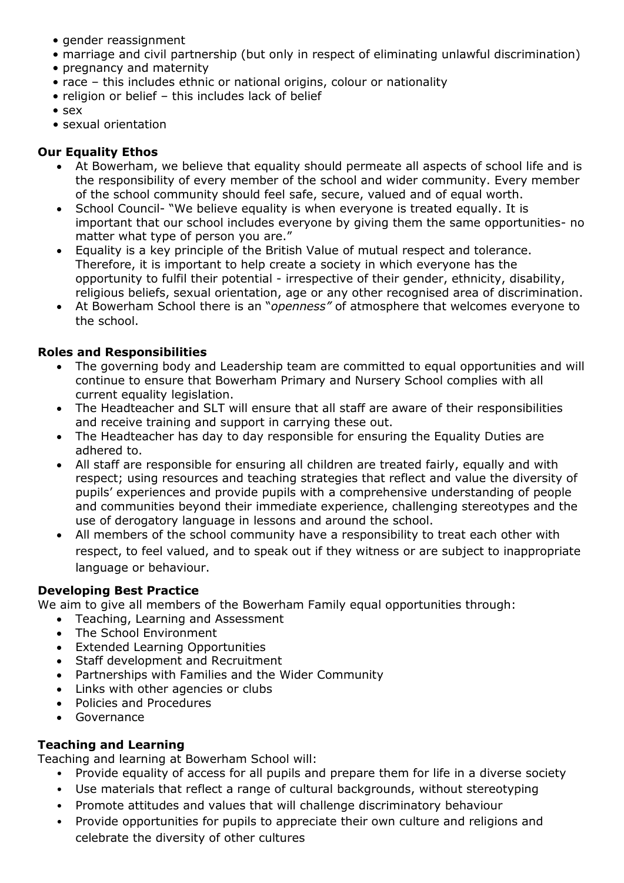- gender reassignment
- marriage and civil partnership (but only in respect of eliminating unlawful discrimination)
- pregnancy and maternity
- race this includes ethnic or national origins, colour or nationality
- religion or belief this includes lack of belief
- sex
- sexual orientation

# **Our Equality Ethos**

- At Bowerham, we believe that equality should permeate all aspects of school life and is the responsibility of every member of the school and wider community. Every member of the school community should feel safe, secure, valued and of equal worth.
- School Council- "We believe equality is when everyone is treated equally. It is important that our school includes everyone by giving them the same opportunities- no matter what type of person you are."
- Equality is a key principle of the British Value of mutual respect and tolerance. Therefore, it is important to help create a society in which everyone has the opportunity to fulfil their potential - irrespective of their gender, ethnicity, disability, religious beliefs, sexual orientation, age or any other recognised area of discrimination.
- At Bowerham School there is an "*openness"* of atmosphere that welcomes everyone to the school.

## **Roles and Responsibilities**

- The governing body and Leadership team are committed to equal opportunities and will continue to ensure that Bowerham Primary and Nursery School complies with all current equality legislation.
- The Headteacher and SLT will ensure that all staff are aware of their responsibilities and receive training and support in carrying these out.
- The Headteacher has day to day responsible for ensuring the Equality Duties are adhered to.
- All staff are responsible for ensuring all children are treated fairly, equally and with respect; using resources and teaching strategies that reflect and value the diversity of pupils' experiences and provide pupils with a comprehensive understanding of people and communities beyond their immediate experience, challenging stereotypes and the use of derogatory language in lessons and around the school.
- All members of the school community have a responsibility to treat each other with respect, to feel valued, and to speak out if they witness or are subject to inappropriate language or behaviour.

### **Developing Best Practice**

We aim to give all members of the Bowerham Family equal opportunities through:

- Teaching, Learning and Assessment
- The School Environment
- Extended Learning Opportunities
- Staff development and Recruitment
- Partnerships with Families and the Wider Community
- Links with other agencies or clubs
- Policies and Procedures
- Governance

# **Teaching and Learning**

Teaching and learning at Bowerham School will:

- Provide equality of access for all pupils and prepare them for life in a diverse society
- Use materials that reflect a range of cultural backgrounds, without stereotyping
- Promote attitudes and values that will challenge discriminatory behaviour
- Provide opportunities for pupils to appreciate their own culture and religions and celebrate the diversity of other cultures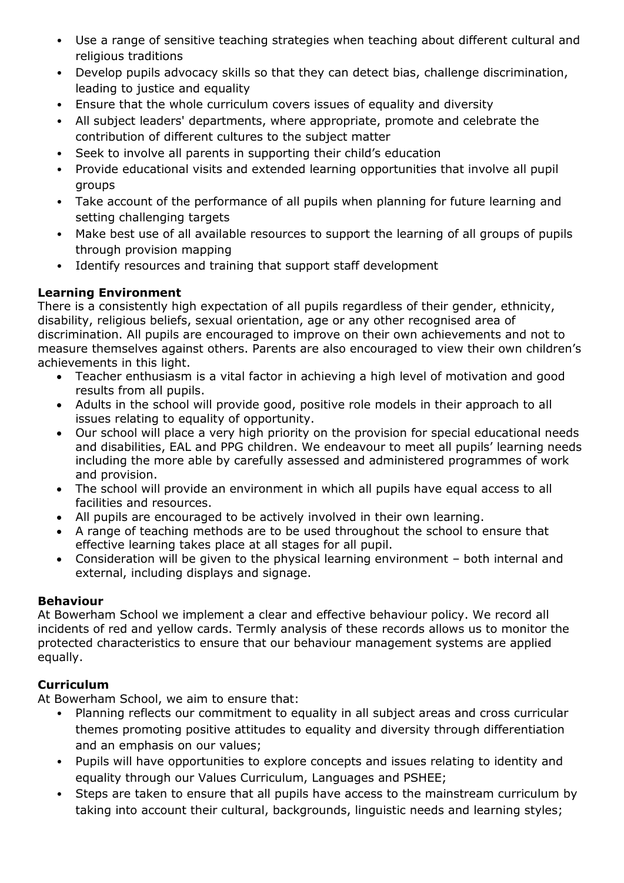- Use a range of sensitive teaching strategies when teaching about different cultural and religious traditions
- Develop pupils advocacy skills so that they can detect bias, challenge discrimination, leading to justice and equality
- Ensure that the whole curriculum covers issues of equality and diversity
- All subject leaders' departments, where appropriate, promote and celebrate the contribution of different cultures to the subject matter
- Seek to involve all parents in supporting their child's education
- Provide educational visits and extended learning opportunities that involve all pupil groups
- Take account of the performance of all pupils when planning for future learning and setting challenging targets
- Make best use of all available resources to support the learning of all groups of pupils through provision mapping
- Identify resources and training that support staff development

## **Learning Environment**

There is a consistently high expectation of all pupils regardless of their gender, ethnicity, disability, religious beliefs, sexual orientation, age or any other recognised area of discrimination. All pupils are encouraged to improve on their own achievements and not to measure themselves against others. Parents are also encouraged to view their own children's achievements in this light.

- Teacher enthusiasm is a vital factor in achieving a high level of motivation and good results from all pupils.
- Adults in the school will provide good, positive role models in their approach to all issues relating to equality of opportunity.
- Our school will place a very high priority on the provision for special educational needs and disabilities, EAL and PPG children. We endeavour to meet all pupils' learning needs including the more able by carefully assessed and administered programmes of work and provision.
- The school will provide an environment in which all pupils have equal access to all facilities and resources.
- All pupils are encouraged to be actively involved in their own learning.
- A range of teaching methods are to be used throughout the school to ensure that effective learning takes place at all stages for all pupil.
- Consideration will be given to the physical learning environment both internal and external, including displays and signage.

### **Behaviour**

At Bowerham School we implement a clear and effective behaviour policy. We record all incidents of red and yellow cards. Termly analysis of these records allows us to monitor the protected characteristics to ensure that our behaviour management systems are applied equally.

### **Curriculum**

At Bowerham School, we aim to ensure that:

- Planning reflects our commitment to equality in all subject areas and cross curricular themes promoting positive attitudes to equality and diversity through differentiation and an emphasis on our values;
- Pupils will have opportunities to explore concepts and issues relating to identity and equality through our Values Curriculum, Languages and PSHEE;
- Steps are taken to ensure that all pupils have access to the mainstream curriculum by taking into account their cultural, backgrounds, linguistic needs and learning styles;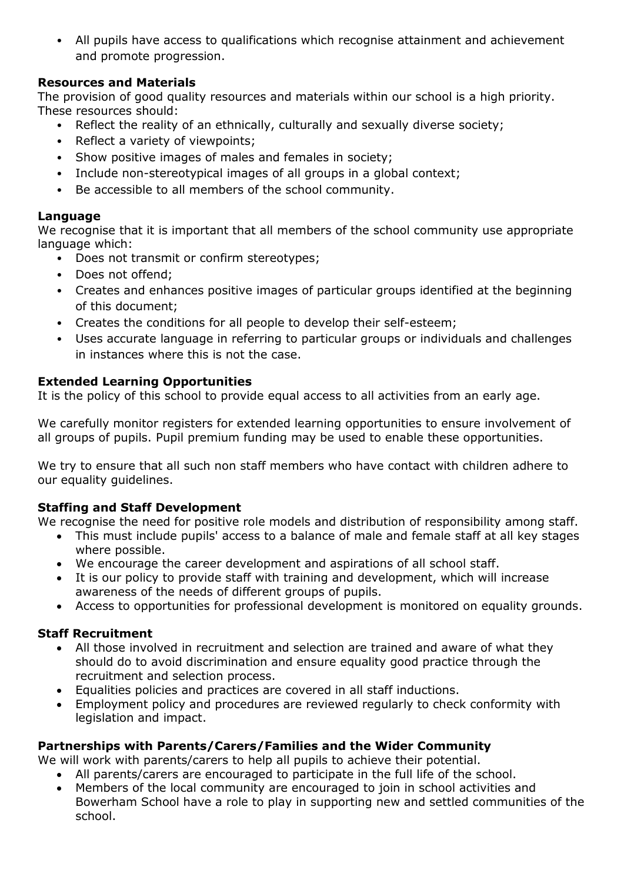• All pupils have access to qualifications which recognise attainment and achievement and promote progression.

# **Resources and Materials**

The provision of good quality resources and materials within our school is a high priority. These resources should:

- Reflect the reality of an ethnically, culturally and sexually diverse society;
- Reflect a variety of viewpoints;
- Show positive images of males and females in society;
- Include non-stereotypical images of all groups in a global context;
- Be accessible to all members of the school community.

### **Language**

We recognise that it is important that all members of the school community use appropriate language which:

- Does not transmit or confirm stereotypes;
- Does not offend;
- Creates and enhances positive images of particular groups identified at the beginning of this document;
- Creates the conditions for all people to develop their self-esteem;
- Uses accurate language in referring to particular groups or individuals and challenges in instances where this is not the case.

# **Extended Learning Opportunities**

It is the policy of this school to provide equal access to all activities from an early age.

We carefully monitor registers for extended learning opportunities to ensure involvement of all groups of pupils. Pupil premium funding may be used to enable these opportunities.

We try to ensure that all such non staff members who have contact with children adhere to our equality guidelines.

### **Staffing and Staff Development**

We recognise the need for positive role models and distribution of responsibility among staff.

- This must include pupils' access to a balance of male and female staff at all key stages where possible.
- We encourage the career development and aspirations of all school staff.
- It is our policy to provide staff with training and development, which will increase awareness of the needs of different groups of pupils.
- Access to opportunities for professional development is monitored on equality grounds.

# **Staff Recruitment**

- All those involved in recruitment and selection are trained and aware of what they should do to avoid discrimination and ensure equality good practice through the recruitment and selection process.
- Equalities policies and practices are covered in all staff inductions.
- Employment policy and procedures are reviewed regularly to check conformity with legislation and impact.

# **Partnerships with Parents/Carers/Families and the Wider Community**

We will work with parents/carers to help all pupils to achieve their potential.

- All parents/carers are encouraged to participate in the full life of the school.
- Members of the local community are encouraged to join in school activities and Bowerham School have a role to play in supporting new and settled communities of the school.